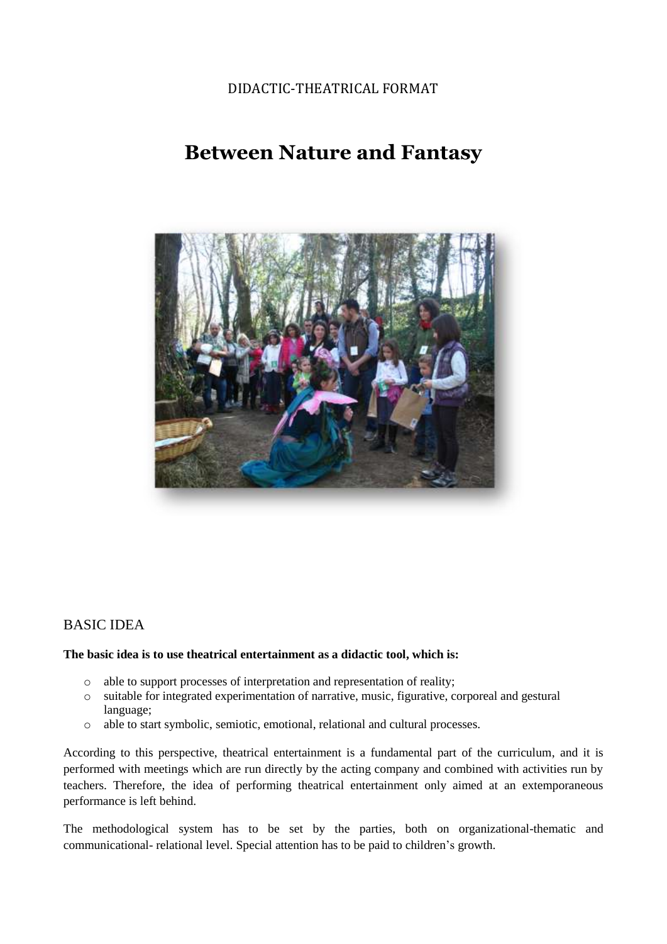#### DIDACTIC-THEATRICAL FORMAT

# **Between Nature and Fantasy**



### BASIC IDEA

#### **The basic idea is to use theatrical entertainment as a didactic tool, which is:**

- o able to support processes of interpretation and representation of reality;
- o suitable for integrated experimentation of narrative, music, figurative, corporeal and gestural language;
- o able to start symbolic, semiotic, emotional, relational and cultural processes.

According to this perspective, theatrical entertainment is a fundamental part of the curriculum, and it is performed with meetings which are run directly by the acting company and combined with activities run by teachers. Therefore, the idea of performing theatrical entertainment only aimed at an extemporaneous performance is left behind.

The methodological system has to be set by the parties, both on organizational-thematic and communicational- relational level. Special attention has to be paid to children's growth.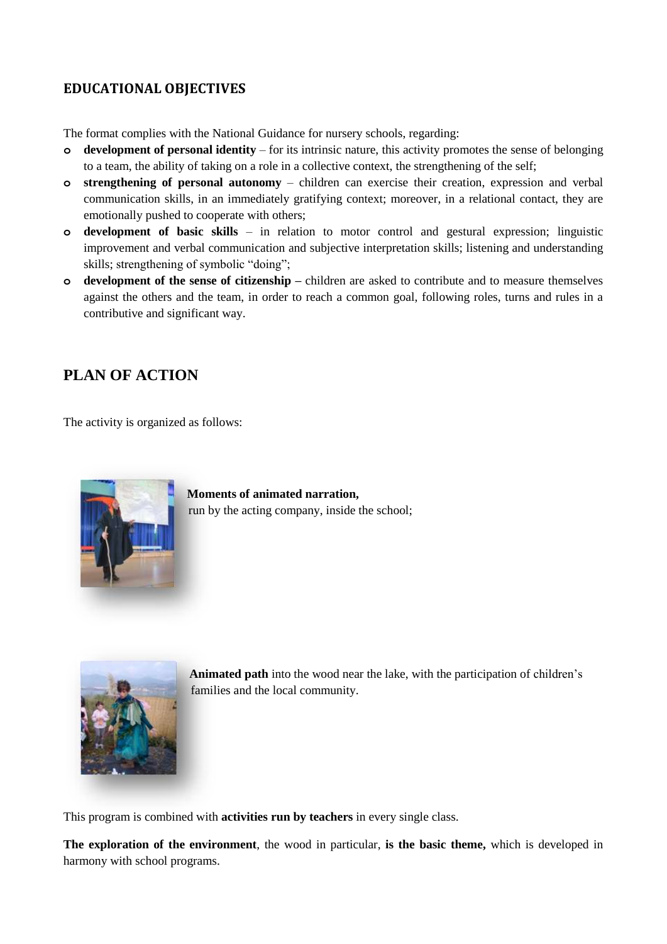### **EDUCATIONAL OBJECTIVES**

The format complies with the National Guidance for nursery schools, regarding:

- **o development of personal identity**  for its intrinsic nature, this activity promotes the sense of belonging to a team, the ability of taking on a role in a collective context, the strengthening of the self;
- **o strengthening of personal autonomy** children can exercise their creation, expression and verbal communication skills, in an immediately gratifying context; moreover, in a relational contact, they are emotionally pushed to cooperate with others;
- **o development of basic skills** in relation to motor control and gestural expression; linguistic improvement and verbal communication and subjective interpretation skills; listening and understanding skills; strengthening of symbolic "doing";
- **o development of the sense of citizenship –** children are asked to contribute and to measure themselves against the others and the team, in order to reach a common goal, following roles, turns and rules in a contributive and significant way.

## **PLAN OF ACTION**

The activity is organized as follows:



**Moments of animated narration,** run by the acting company, inside the school;



**Animated path** into the wood near the lake, with the participation of children's families and the local community.

This program is combined with **activities run by teachers** in every single class.

**The exploration of the environment**, the wood in particular, **is the basic theme,** which is developed in harmony with school programs.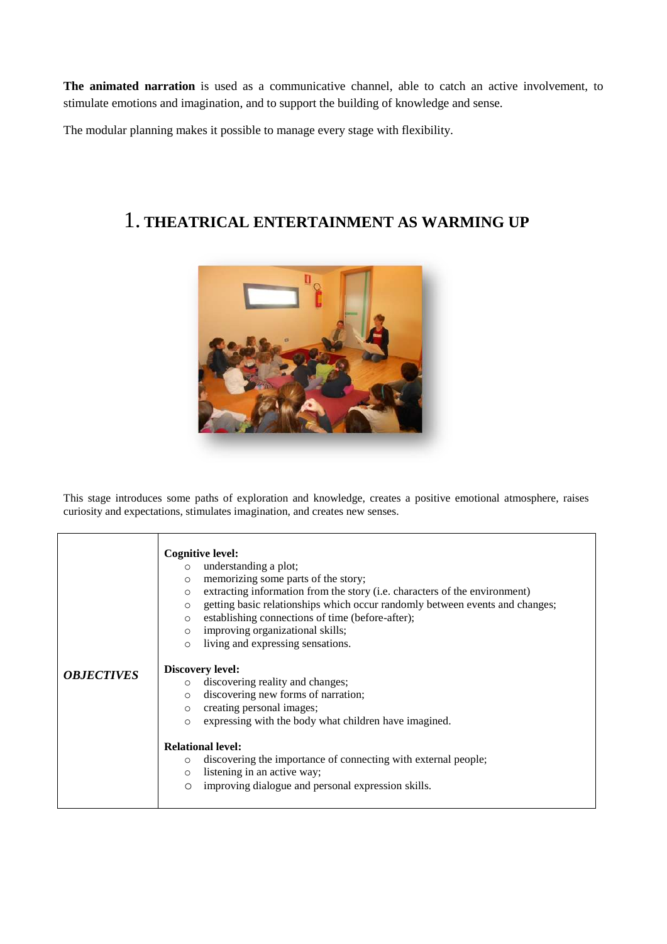**The animated narration** is used as a communicative channel, able to catch an active involvement, to stimulate emotions and imagination, and to support the building of knowledge and sense.

The modular planning makes it possible to manage every stage with flexibility.

## 1. **THEATRICAL ENTERTAINMENT AS WARMING UP**



This stage introduces some paths of exploration and knowledge, creates a positive emotional atmosphere, raises curiosity and expectations, stimulates imagination, and creates new senses.

|                   | Cognitive level:<br>understanding a plot;<br>$\circ$<br>memorizing some parts of the story;<br>$\circ$<br>extracting information from the story (i.e. characters of the environment)<br>$\circ$<br>getting basic relationships which occur randomly between events and changes;<br>$\circ$<br>establishing connections of time (before-after);<br>$\circ$<br>improving organizational skills;<br>$\circ$<br>living and expressing sensations.<br>$\circ$ |
|-------------------|----------------------------------------------------------------------------------------------------------------------------------------------------------------------------------------------------------------------------------------------------------------------------------------------------------------------------------------------------------------------------------------------------------------------------------------------------------|
| <b>OBJECTIVES</b> | <b>Discovery level:</b>                                                                                                                                                                                                                                                                                                                                                                                                                                  |
|                   | discovering reality and changes;<br>$\circ$                                                                                                                                                                                                                                                                                                                                                                                                              |
|                   | discovering new forms of narration;<br>$\circ$                                                                                                                                                                                                                                                                                                                                                                                                           |
|                   | creating personal images;<br>$\circ$                                                                                                                                                                                                                                                                                                                                                                                                                     |
|                   | expressing with the body what children have imagined.<br>$\circ$                                                                                                                                                                                                                                                                                                                                                                                         |
|                   | <b>Relational level:</b>                                                                                                                                                                                                                                                                                                                                                                                                                                 |
|                   | discovering the importance of connecting with external people;<br>$\circ$                                                                                                                                                                                                                                                                                                                                                                                |
|                   | listening in an active way;<br>$\circ$                                                                                                                                                                                                                                                                                                                                                                                                                   |
|                   | improving dialogue and personal expression skills.<br>$\circ$                                                                                                                                                                                                                                                                                                                                                                                            |
|                   |                                                                                                                                                                                                                                                                                                                                                                                                                                                          |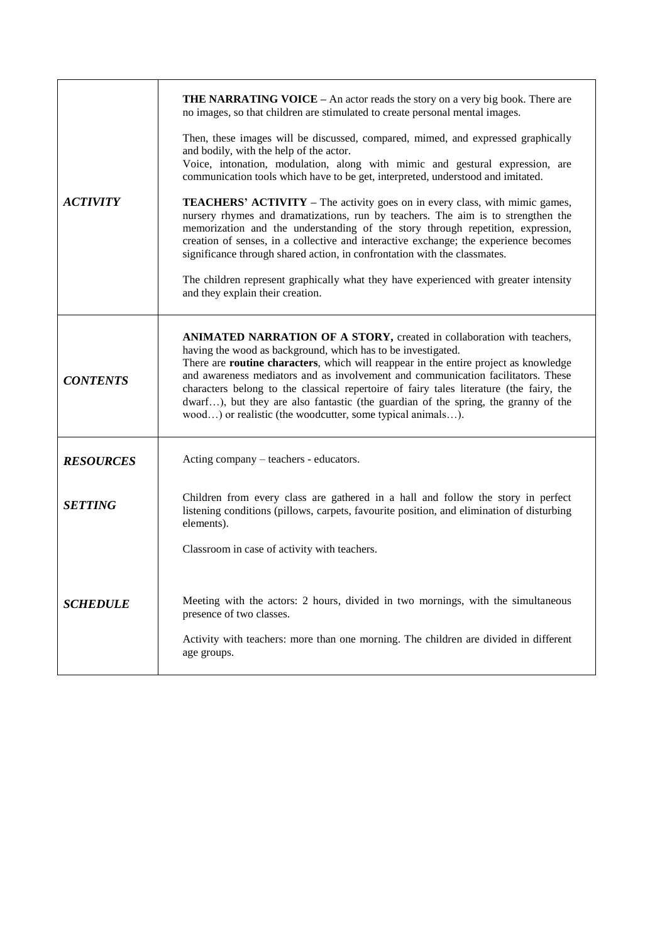| <b>THE NARRATING VOICE - An actor reads the story on a very big book. There are</b><br>no images, so that children are stimulated to create personal mental images.<br>Then, these images will be discussed, compared, mimed, and expressed graphically<br>and bodily, with the help of the actor.<br>Voice, intonation, modulation, along with mimic and gestural expression, are<br>communication tools which have to be get, interpreted, understood and imitated.<br><b>ACTIVITY</b><br><b>TEACHERS' ACTIVITY</b> – The activity goes on in every class, with mimic games,<br>nursery rhymes and dramatizations, run by teachers. The aim is to strengthen the<br>memorization and the understanding of the story through repetition, expression,<br>creation of senses, in a collective and interactive exchange; the experience becomes<br>significance through shared action, in confrontation with the classmates.<br>The children represent graphically what they have experienced with greater intensity<br>and they explain their creation.<br>ANIMATED NARRATION OF A STORY, created in collaboration with teachers,<br>having the wood as background, which has to be investigated.<br>There are <b>routine characters</b> , which will reappear in the entire project as knowledge<br>and awareness mediators and as involvement and communication facilitators. These<br><b>CONTENTS</b><br>characters belong to the classical repertoire of fairy tales literature (the fairy, the<br>dwarf), but they are also fantastic (the guardian of the spring, the granny of the<br>wood) or realistic (the woodcutter, some typical animals).<br>Acting company – teachers - educators.<br><b>RESOURCES</b><br>Children from every class are gathered in a hall and follow the story in perfect<br><b>SETTING</b><br>listening conditions (pillows, carpets, favourite position, and elimination of disturbing<br>elements).<br>Classroom in case of activity with teachers.<br>Meeting with the actors: 2 hours, divided in two mornings, with the simultaneous<br><b>SCHEDULE</b><br>presence of two classes.<br>Activity with teachers: more than one morning. The children are divided in different<br>age groups. |  |
|---------------------------------------------------------------------------------------------------------------------------------------------------------------------------------------------------------------------------------------------------------------------------------------------------------------------------------------------------------------------------------------------------------------------------------------------------------------------------------------------------------------------------------------------------------------------------------------------------------------------------------------------------------------------------------------------------------------------------------------------------------------------------------------------------------------------------------------------------------------------------------------------------------------------------------------------------------------------------------------------------------------------------------------------------------------------------------------------------------------------------------------------------------------------------------------------------------------------------------------------------------------------------------------------------------------------------------------------------------------------------------------------------------------------------------------------------------------------------------------------------------------------------------------------------------------------------------------------------------------------------------------------------------------------------------------------------------------------------------------------------------------------------------------------------------------------------------------------------------------------------------------------------------------------------------------------------------------------------------------------------------------------------------------------------------------------------------------------------------------------------------------------------------------------------------------------------------------------------------|--|
|                                                                                                                                                                                                                                                                                                                                                                                                                                                                                                                                                                                                                                                                                                                                                                                                                                                                                                                                                                                                                                                                                                                                                                                                                                                                                                                                                                                                                                                                                                                                                                                                                                                                                                                                                                                                                                                                                                                                                                                                                                                                                                                                                                                                                                 |  |
|                                                                                                                                                                                                                                                                                                                                                                                                                                                                                                                                                                                                                                                                                                                                                                                                                                                                                                                                                                                                                                                                                                                                                                                                                                                                                                                                                                                                                                                                                                                                                                                                                                                                                                                                                                                                                                                                                                                                                                                                                                                                                                                                                                                                                                 |  |
|                                                                                                                                                                                                                                                                                                                                                                                                                                                                                                                                                                                                                                                                                                                                                                                                                                                                                                                                                                                                                                                                                                                                                                                                                                                                                                                                                                                                                                                                                                                                                                                                                                                                                                                                                                                                                                                                                                                                                                                                                                                                                                                                                                                                                                 |  |
|                                                                                                                                                                                                                                                                                                                                                                                                                                                                                                                                                                                                                                                                                                                                                                                                                                                                                                                                                                                                                                                                                                                                                                                                                                                                                                                                                                                                                                                                                                                                                                                                                                                                                                                                                                                                                                                                                                                                                                                                                                                                                                                                                                                                                                 |  |
|                                                                                                                                                                                                                                                                                                                                                                                                                                                                                                                                                                                                                                                                                                                                                                                                                                                                                                                                                                                                                                                                                                                                                                                                                                                                                                                                                                                                                                                                                                                                                                                                                                                                                                                                                                                                                                                                                                                                                                                                                                                                                                                                                                                                                                 |  |
|                                                                                                                                                                                                                                                                                                                                                                                                                                                                                                                                                                                                                                                                                                                                                                                                                                                                                                                                                                                                                                                                                                                                                                                                                                                                                                                                                                                                                                                                                                                                                                                                                                                                                                                                                                                                                                                                                                                                                                                                                                                                                                                                                                                                                                 |  |
|                                                                                                                                                                                                                                                                                                                                                                                                                                                                                                                                                                                                                                                                                                                                                                                                                                                                                                                                                                                                                                                                                                                                                                                                                                                                                                                                                                                                                                                                                                                                                                                                                                                                                                                                                                                                                                                                                                                                                                                                                                                                                                                                                                                                                                 |  |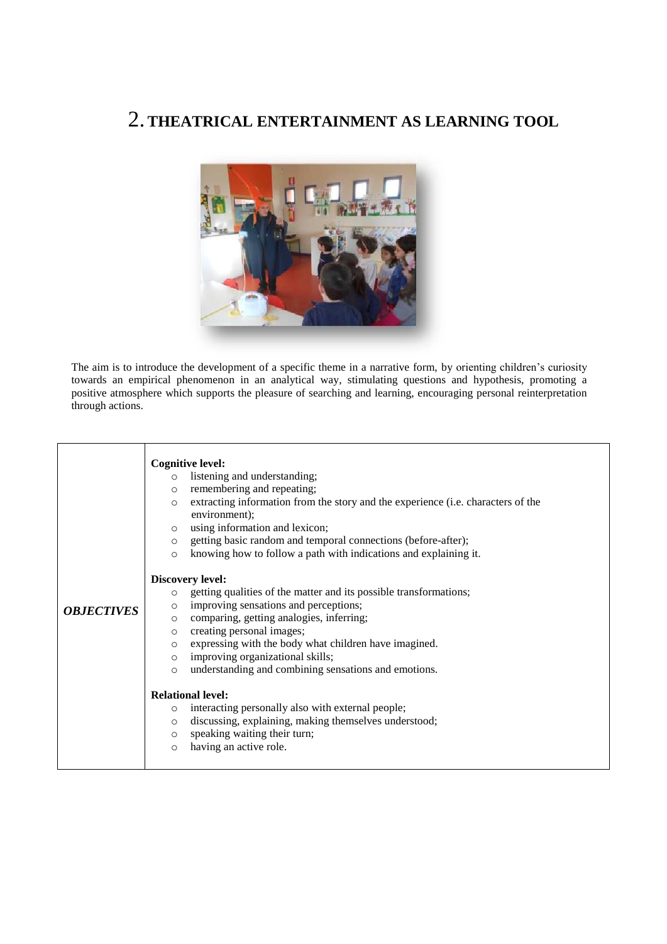## 2.**THEATRICAL ENTERTAINMENT AS LEARNING TOOL**



The aim is to introduce the development of a specific theme in a narrative form, by orienting children's curiosity towards an empirical phenomenon in an analytical way, stimulating questions and hypothesis, promoting a positive atmosphere which supports the pleasure of searching and learning, encouraging personal reinterpretation through actions.

| extracting information from the story and the experience (i.e. characters of the |
|----------------------------------------------------------------------------------|
|                                                                                  |
|                                                                                  |
|                                                                                  |
|                                                                                  |
|                                                                                  |
|                                                                                  |
|                                                                                  |
|                                                                                  |
|                                                                                  |
|                                                                                  |
|                                                                                  |
|                                                                                  |
|                                                                                  |
|                                                                                  |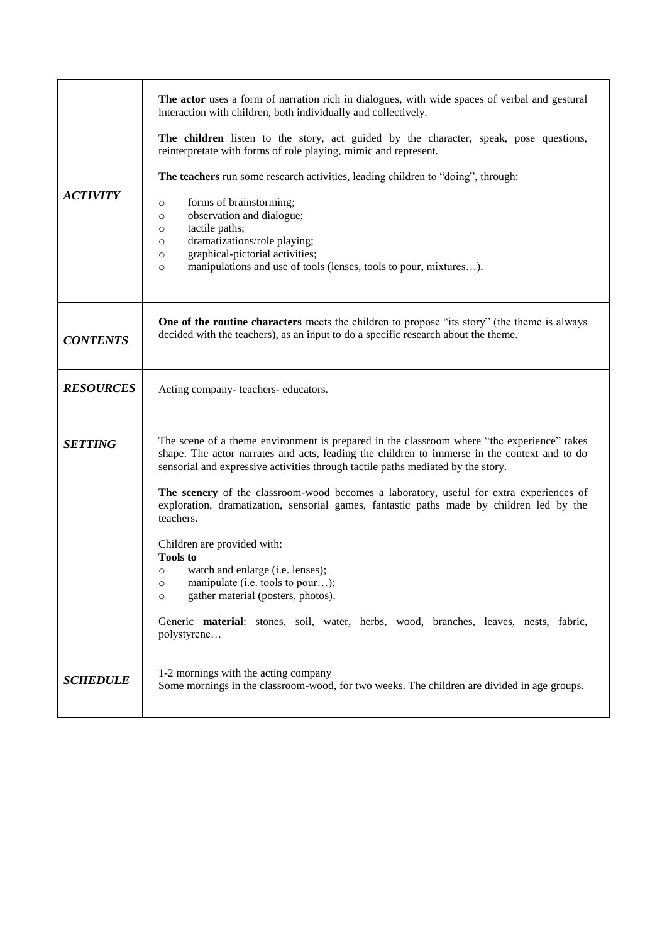| <b>ACTIVITY</b>  | The actor uses a form of narration rich in dialogues, with wide spaces of verbal and gestural<br>interaction with children, both individually and collectively.<br>The children listen to the story, act guided by the character, speak, pose questions,<br>reinterpretate with forms of role playing, mimic and represent.<br>The teachers run some research activities, leading children to "doing", through:<br>forms of brainstorming;<br>$\circ$<br>observation and dialogue;<br>$\circ$<br>tactile paths;<br>$\circ$<br>dramatizations/role playing;<br>$\circ$<br>graphical-pictorial activities;<br>$\circ$<br>manipulations and use of tools (lenses, tools to pour, mixtures).<br>$\circ$                                                                         |
|------------------|-----------------------------------------------------------------------------------------------------------------------------------------------------------------------------------------------------------------------------------------------------------------------------------------------------------------------------------------------------------------------------------------------------------------------------------------------------------------------------------------------------------------------------------------------------------------------------------------------------------------------------------------------------------------------------------------------------------------------------------------------------------------------------|
| <b>CONTENTS</b>  | One of the routine characters meets the children to propose "its story" (the theme is always<br>decided with the teachers), as an input to do a specific research about the theme.                                                                                                                                                                                                                                                                                                                                                                                                                                                                                                                                                                                          |
| <b>RESOURCES</b> | Acting company-teachers-educators.                                                                                                                                                                                                                                                                                                                                                                                                                                                                                                                                                                                                                                                                                                                                          |
| <b>SETTING</b>   | The scene of a theme environment is prepared in the classroom where "the experience" takes<br>shape. The actor narrates and acts, leading the children to immerse in the context and to do<br>sensorial and expressive activities through tactile paths mediated by the story.<br>The scenery of the classroom-wood becomes a laboratory, useful for extra experiences of<br>exploration, dramatization, sensorial games, fantastic paths made by children led by the<br>teachers.<br>Children are provided with:<br><b>Tools to</b><br>watch and enlarge (i.e. lenses);<br>$\circ$<br>manipulate (i.e. tools to pour);<br>$\circ$<br>gather material (posters, photos).<br>$\circ$<br>Generic material: stones, soil, water, herbs, wood, branches, leaves, nests, fabric, |
| <b>SCHEDULE</b>  | polystyrene<br>1-2 mornings with the acting company<br>Some mornings in the classroom-wood, for two weeks. The children are divided in age groups.                                                                                                                                                                                                                                                                                                                                                                                                                                                                                                                                                                                                                          |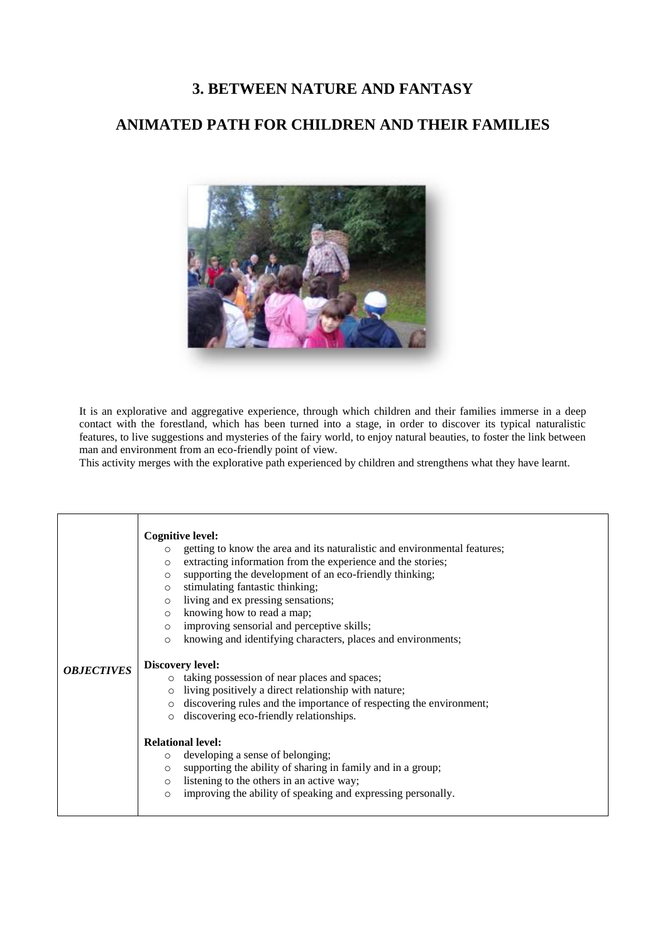### **3. BETWEEN NATURE AND FANTASY**

### **ANIMATED PATH FOR CHILDREN AND THEIR FAMILIES**



It is an explorative and aggregative experience, through which children and their families immerse in a deep contact with the forestland, which has been turned into a stage, in order to discover its typical naturalistic features, to live suggestions and mysteries of the fairy world, to enjoy natural beauties, to foster the link between man and environment from an eco-friendly point of view.

This activity merges with the explorative path experienced by children and strengthens what they have learnt.

| <b>OBJECTIVES</b> | <b>Cognitive level:</b><br>getting to know the area and its naturalistic and environmental features;<br>$\circ$<br>extracting information from the experience and the stories;<br>$\circ$<br>supporting the development of an eco-friendly thinking;<br>$\circ$<br>stimulating fantastic thinking;<br>$\circ$<br>living and ex pressing sensations;<br>$\circ$<br>knowing how to read a map;<br>$\circ$<br>improving sensorial and perceptive skills;<br>$\circ$<br>knowing and identifying characters, places and environments;<br>$\circ$<br><b>Discovery level:</b><br>taking possession of near places and spaces;<br>living positively a direct relationship with nature;<br>discovering rules and the importance of respecting the environment;<br>discovering eco-friendly relationships. |
|-------------------|--------------------------------------------------------------------------------------------------------------------------------------------------------------------------------------------------------------------------------------------------------------------------------------------------------------------------------------------------------------------------------------------------------------------------------------------------------------------------------------------------------------------------------------------------------------------------------------------------------------------------------------------------------------------------------------------------------------------------------------------------------------------------------------------------|
|                   | <b>Relational level:</b><br>developing a sense of belonging;<br>$\circ$<br>supporting the ability of sharing in family and in a group;<br>$\Omega$<br>listening to the others in an active way;<br>$\circ$<br>improving the ability of speaking and expressing personally.<br>$\circ$                                                                                                                                                                                                                                                                                                                                                                                                                                                                                                            |